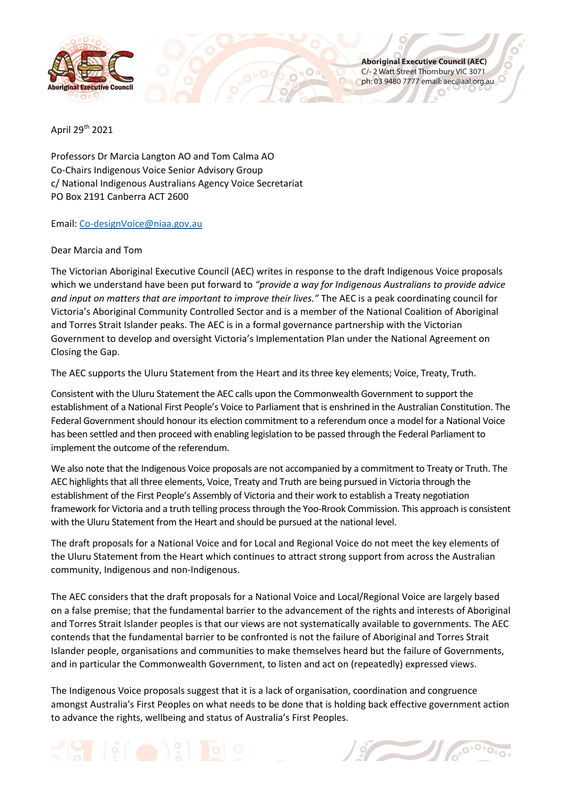

**Aboriginal Executive Council (AEC)** C/- 2 Watt Street Thornbury VIC 3071 ph: 03 9480 7777 email: aec@aal.org.au

April 29th 2021

Professors Dr Marcia Langton AO and Tom Calma AO Co-Chairs Indigenous Voice Senior Advisory Group c/ National Indigenous Australians Agency Voice Secretariat PO Box 2191 Canberra ACT 2600

Email: [Co-designVoice@niaa.gov.au](mailto:Co-designVoice@niaa.gov.au)

## Dear Marcia and Tom

The Victorian Aboriginal Executive Council (AEC) writes in response to the draft Indigenous Voice proposals which we understand have been put forward to *"provide a way for Indigenous Australians to provide advice and input on matters that are important to improve their lives."* The AEC is a peak coordinating council for Victoria's Aboriginal Community Controlled Sector and is a member of the National Coalition of Aboriginal and Torres Strait Islander peaks. The AEC is in a formal governance partnership with the Victorian Government to develop and oversight Victoria's Implementation Plan under the National Agreement on Closing the Gap.

0000

The AEC supports the Uluru Statement from the Heart and its three key elements; Voice, Treaty, Truth.

Consistent with the Uluru Statement the AEC calls upon the Commonwealth Government to support the establishment of a National First People's Voice to Parliament that is enshrined in the Australian Constitution. The Federal Government should honour its election commitment to a referendum once a model for a National Voice has been settled and then proceed with enabling legislation to be passed through the Federal Parliament to implement the outcome of the referendum.

We also note that the Indigenous Voice proposals are not accompanied by a commitment to Treaty or Truth. The AEC highlights that all three elements, Voice, Treaty and Truth are being pursued in Victoria through the establishment of the First People's Assembly of Victoria and their work to establish a Treaty negotiation framework for Victoria and a truth telling process through the Yoo-Rrook Commission. This approach is consistent with the Uluru Statement from the Heart and should be pursued at the national level.

The draft proposals for a National Voice and for Local and Regional Voice do not meet the key elements of the Uluru Statement from the Heart which continues to attract strong support from across the Australian community, Indigenous and non-Indigenous.

The AEC considers that the draft proposals for a National Voice and Local/Regional Voice are largely based on a false premise; that the fundamental barrier to the advancement of the rights and interests of Aboriginal and Torres Strait Islander peoples is that our views are not systematically available to governments. The AEC contends that the fundamental barrier to be confronted is not the failure of Aboriginal and Torres Strait Islander people, organisations and communities to make themselves heard but the failure of Governments, and in particular the Commonwealth Government, to listen and act on (repeatedly) expressed views.

The Indigenous Voice proposals suggest that it is a lack of organisation, coordination and congruence amongst Australia's First Peoples on what needs to be done that is holding back effective government action to advance the rights, wellbeing and status of Australia's First Peoples.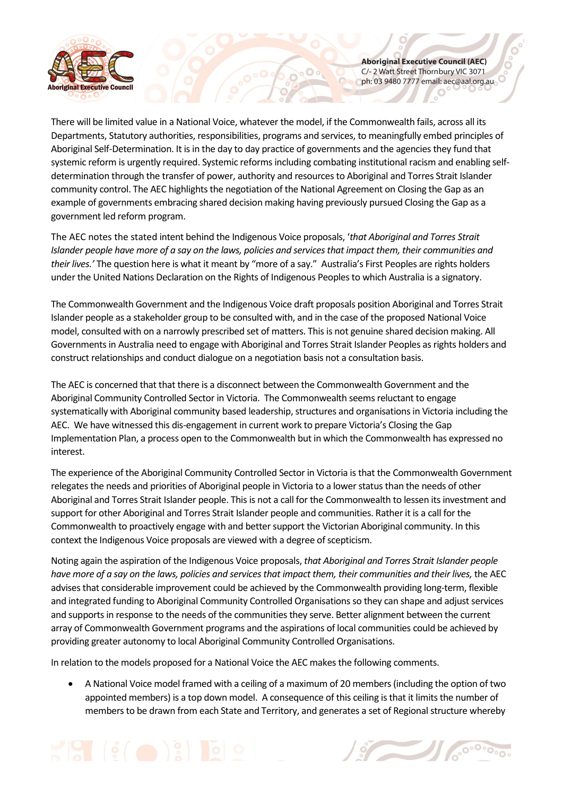

**Aboriginal Executive Council (AEC)** C/- 2 Watt Street Thornbury VIC 3071 ph: 03 9480 7777 email: aec@aal.org.au

There will be limited value in a National Voice, whatever the model, if the Commonwealth fails, across all its Departments, Statutory authorities, responsibilities, programs and services, to meaningfully embed principles of Aboriginal Self-Determination. It is in the day to day practice of governments and the agencies they fund that systemic reform is urgently required. Systemic reforms including combating institutional racism and enabling selfdetermination through the transfer of power, authority and resources to Aboriginal and Torres Strait Islander community control. The AEC highlights the negotiation of the National Agreement on Closing the Gap as an example of governments embracing shared decision making having previously pursued Closing the Gap as a government led reform program.

The AEC notes the stated intent behind the Indigenous Voice proposals, '*that Aboriginal and Torres Strait Islander people have more of a say on the laws, policies and services that impact them, their communities and their lives.'* The question here is what it meant by "more of a say." Australia's First Peoples are rights holders under the United Nations Declaration on the Rights of Indigenous Peoples to which Australia is a signatory.

The Commonwealth Government and the Indigenous Voice draft proposals position Aboriginal and Torres Strait Islander people as a stakeholder group to be consulted with, and in the case of the proposed National Voice model, consulted with on a narrowly prescribed set of matters. This is not genuine shared decision making. All Governments in Australia need to engage with Aboriginal and Torres Strait Islander Peoples as rights holders and construct relationships and conduct dialogue on a negotiation basis not a consultation basis.

The AEC is concerned that that there is a disconnect between the Commonwealth Government and the Aboriginal Community Controlled Sector in Victoria. The Commonwealth seems reluctant to engage systematically with Aboriginal community based leadership, structures and organisations in Victoria including the AEC. We have witnessed this dis-engagement in current work to prepare Victoria's Closing the Gap Implementation Plan, a process open to the Commonwealth but in which the Commonwealth has expressed no interest.

The experience of the Aboriginal Community Controlled Sector in Victoria is that the Commonwealth Government relegates the needs and priorities of Aboriginal people in Victoria to a lower status than the needs of other Aboriginal and Torres Strait Islander people. This is not a call for the Commonwealth to lessen its investment and support for other Aboriginal and Torres Strait Islander people and communities. Rather it is a call for the Commonwealth to proactively engage with and better support the Victorian Aboriginal community. In this context the Indigenous Voice proposals are viewed with a degree of scepticism.

Noting again the aspiration of the Indigenous Voice proposals, *that Aboriginal and Torres Strait Islander people have more of a say on the laws, policies and services that impact them, their communities and their lives,* the AEC advises that considerable improvement could be achieved by the Commonwealth providing long-term, flexible and integrated funding to Aboriginal Community Controlled Organisations so they can shape and adjust services and supports in response to the needs of the communities they serve. Better alignment between the current array of Commonwealth Government programs and the aspirations of local communities could be achieved by providing greater autonomy to local Aboriginal Community Controlled Organisations.

In relation to the models proposed for a National Voice the AEC makes the following comments.

 A National Voice model framed with a ceiling of a maximum of 20 members (including the option of two appointed members) is a top down model. A consequence of this ceiling is that it limits the number of members to be drawn from each State and Territory, and generates a set of Regional structure whereby